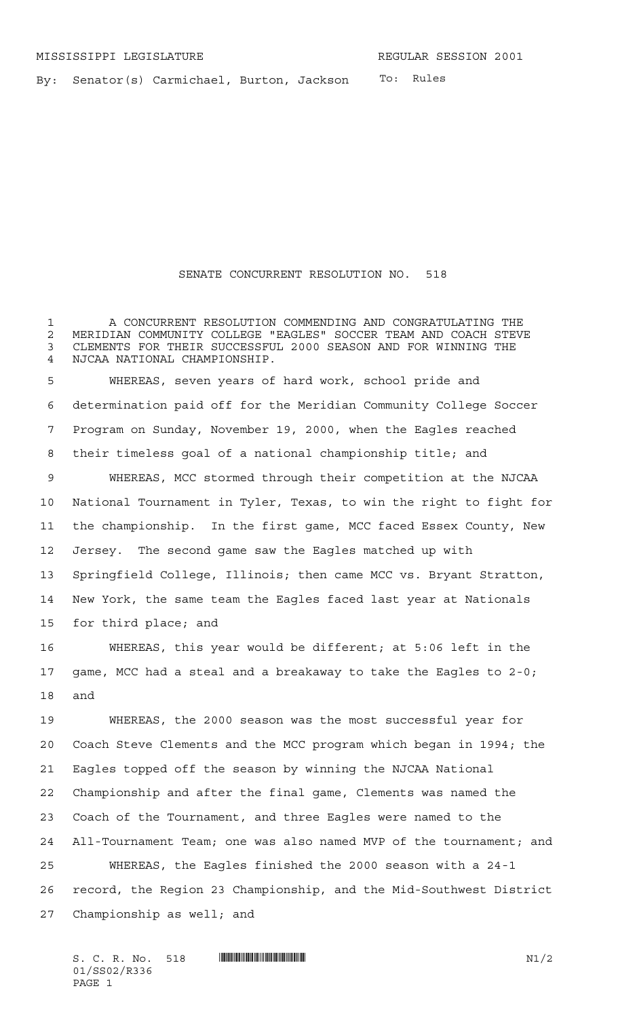To: Rules By: Senator(s) Carmichael, Burton, Jackson

## SENATE CONCURRENT RESOLUTION NO. 518

 A CONCURRENT RESOLUTION COMMENDING AND CONGRATULATING THE 2 MERIDIAN COMMUNITY COLLEGE "EAGLES" SOCCER TEAM AND COACH STEVE<br>3 CLEMENTS FOR THEIR SUCCESSFUL 2000 SEASON AND FOR WINNING THE CLEMENTS FOR THEIR SUCCESSFUL 2000 SEASON AND FOR WINNING THE NJCAA NATIONAL CHAMPIONSHIP. WHEREAS, seven years of hard work, school pride and determination paid off for the Meridian Community College Soccer Program on Sunday, November 19, 2000, when the Eagles reached their timeless goal of a national championship title; and WHEREAS, MCC stormed through their competition at the NJCAA National Tournament in Tyler, Texas, to win the right to fight for the championship. In the first game, MCC faced Essex County, New Jersey. The second game saw the Eagles matched up with Springfield College, Illinois; then came MCC vs. Bryant Stratton, New York, the same team the Eagles faced last year at Nationals for third place; and WHEREAS, this year would be different; at 5:06 left in the

 game, MCC had a steal and a breakaway to take the Eagles to 2-0; and

 WHEREAS, the 2000 season was the most successful year for Coach Steve Clements and the MCC program which began in 1994; the Eagles topped off the season by winning the NJCAA National Championship and after the final game, Clements was named the Coach of the Tournament, and three Eagles were named to the All-Tournament Team; one was also named MVP of the tournament; and WHEREAS, the Eagles finished the 2000 season with a 24-1 record, the Region 23 Championship, and the Mid-Southwest District Championship as well; and

 $S. C. R. No. 518$  .  $M1/2$ 01/SS02/R336 PAGE 1